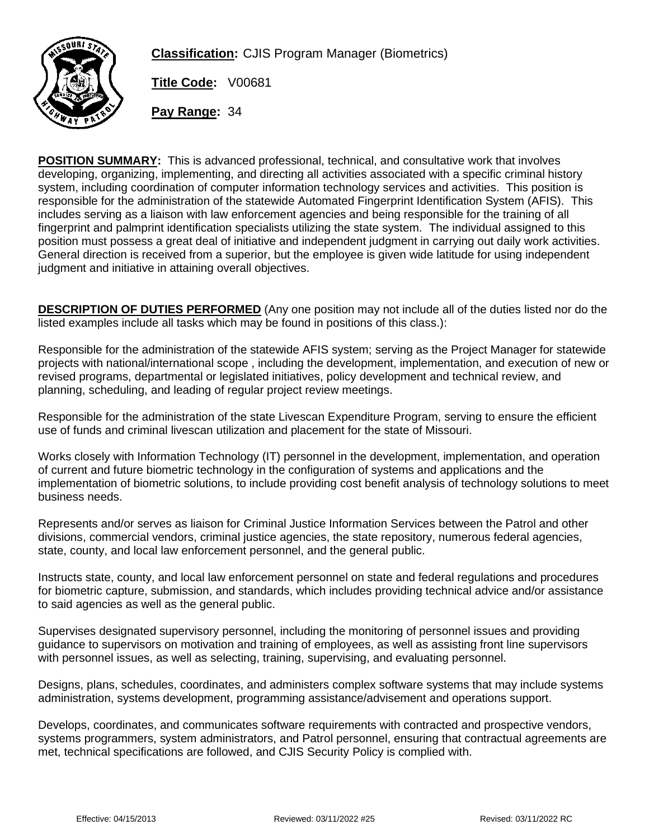

**Classification:** CJIS Program Manager (Biometrics)

**Title Code:** V00681

**Pay Range:** 34

**POSITION SUMMARY:** This is advanced professional, technical, and consultative work that involves developing, organizing, implementing, and directing all activities associated with a specific criminal history system, including coordination of computer information technology services and activities. This position is responsible for the administration of the statewide Automated Fingerprint Identification System (AFIS). This includes serving as a liaison with law enforcement agencies and being responsible for the training of all fingerprint and palmprint identification specialists utilizing the state system. The individual assigned to this position must possess a great deal of initiative and independent judgment in carrying out daily work activities. General direction is received from a superior, but the employee is given wide latitude for using independent judgment and initiative in attaining overall objectives.

**DESCRIPTION OF DUTIES PERFORMED** (Any one position may not include all of the duties listed nor do the listed examples include all tasks which may be found in positions of this class.):

Responsible for the administration of the statewide AFIS system; serving as the Project Manager for statewide projects with national/international scope , including the development, implementation, and execution of new or revised programs, departmental or legislated initiatives, policy development and technical review, and planning, scheduling, and leading of regular project review meetings.

Responsible for the administration of the state Livescan Expenditure Program, serving to ensure the efficient use of funds and criminal livescan utilization and placement for the state of Missouri.

Works closely with Information Technology (IT) personnel in the development, implementation, and operation of current and future biometric technology in the configuration of systems and applications and the implementation of biometric solutions, to include providing cost benefit analysis of technology solutions to meet business needs.

Represents and/or serves as liaison for Criminal Justice Information Services between the Patrol and other divisions, commercial vendors, criminal justice agencies, the state repository, numerous federal agencies, state, county, and local law enforcement personnel, and the general public.

Instructs state, county, and local law enforcement personnel on state and federal regulations and procedures for biometric capture, submission, and standards, which includes providing technical advice and/or assistance to said agencies as well as the general public.

Supervises designated supervisory personnel, including the monitoring of personnel issues and providing guidance to supervisors on motivation and training of employees, as well as assisting front line supervisors with personnel issues, as well as selecting, training, supervising, and evaluating personnel.

Designs, plans, schedules, coordinates, and administers complex software systems that may include systems administration, systems development, programming assistance/advisement and operations support.

Develops, coordinates, and communicates software requirements with contracted and prospective vendors, systems programmers, system administrators, and Patrol personnel, ensuring that contractual agreements are met, technical specifications are followed, and CJIS Security Policy is complied with.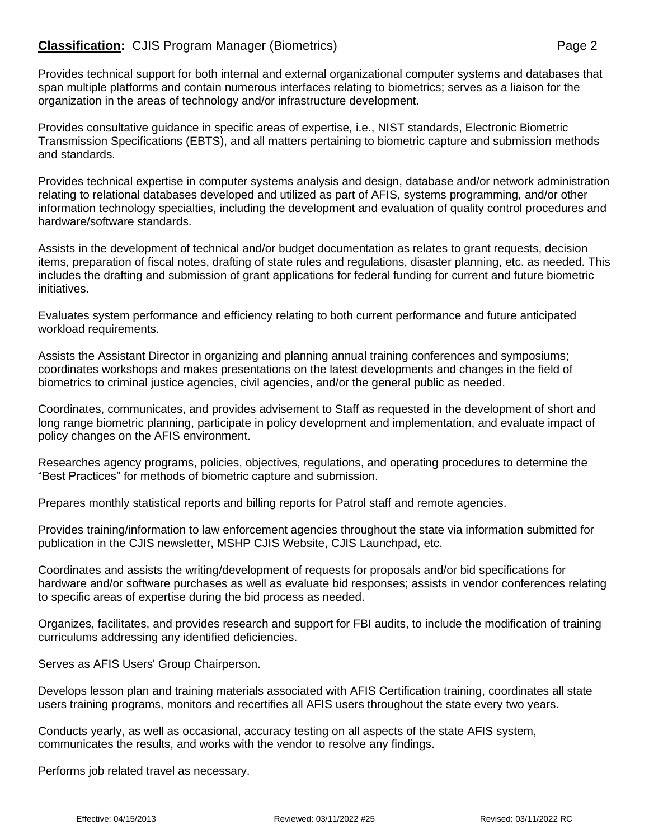## **Classification:** CJIS Program Manager (Biometrics) **Page 2** Page 2

Provides technical support for both internal and external organizational computer systems and databases that span multiple platforms and contain numerous interfaces relating to biometrics; serves as a liaison for the organization in the areas of technology and/or infrastructure development.

Provides consultative guidance in specific areas of expertise, i.e., NIST standards, Electronic Biometric Transmission Specifications (EBTS), and all matters pertaining to biometric capture and submission methods and standards.

Provides technical expertise in computer systems analysis and design, database and/or network administration relating to relational databases developed and utilized as part of AFIS, systems programming, and/or other information technology specialties, including the development and evaluation of quality control procedures and hardware/software standards.

Assists in the development of technical and/or budget documentation as relates to grant requests, decision items, preparation of fiscal notes, drafting of state rules and regulations, disaster planning, etc. as needed. This includes the drafting and submission of grant applications for federal funding for current and future biometric initiatives.

Evaluates system performance and efficiency relating to both current performance and future anticipated workload requirements.

Assists the Assistant Director in organizing and planning annual training conferences and symposiums; coordinates workshops and makes presentations on the latest developments and changes in the field of biometrics to criminal justice agencies, civil agencies, and/or the general public as needed.

Coordinates, communicates, and provides advisement to Staff as requested in the development of short and long range biometric planning, participate in policy development and implementation, and evaluate impact of policy changes on the AFIS environment.

Researches agency programs, policies, objectives, regulations, and operating procedures to determine the "Best Practices" for methods of biometric capture and submission.

Prepares monthly statistical reports and billing reports for Patrol staff and remote agencies.

Provides training/information to law enforcement agencies throughout the state via information submitted for publication in the CJIS newsletter, MSHP CJIS Website, CJIS Launchpad, etc.

Coordinates and assists the writing/development of requests for proposals and/or bid specifications for hardware and/or software purchases as well as evaluate bid responses; assists in vendor conferences relating to specific areas of expertise during the bid process as needed.

Organizes, facilitates, and provides research and support for FBI audits, to include the modification of training curriculums addressing any identified deficiencies.

Serves as AFIS Users' Group Chairperson.

Develops lesson plan and training materials associated with AFIS Certification training, coordinates all state users training programs, monitors and recertifies all AFIS users throughout the state every two years.

Conducts yearly, as well as occasional, accuracy testing on all aspects of the state AFIS system, communicates the results, and works with the vendor to resolve any findings.

Performs job related travel as necessary.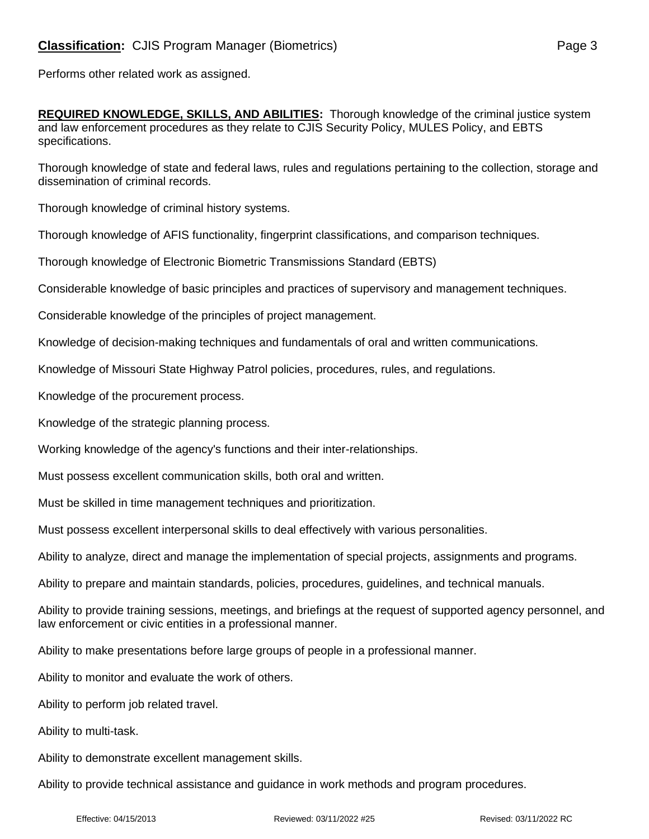Performs other related work as assigned.

**REQUIRED KNOWLEDGE, SKILLS, AND ABILITIES:** Thorough knowledge of the criminal justice system and law enforcement procedures as they relate to CJIS Security Policy, MULES Policy, and EBTS

specifications.

Thorough knowledge of state and federal laws, rules and regulations pertaining to the collection, storage and dissemination of criminal records.

Thorough knowledge of criminal history systems.

Thorough knowledge of AFIS functionality, fingerprint classifications, and comparison techniques.

Thorough knowledge of Electronic Biometric Transmissions Standard (EBTS)

Considerable knowledge of basic principles and practices of supervisory and management techniques.

Considerable knowledge of the principles of project management.

Knowledge of decision-making techniques and fundamentals of oral and written communications.

Knowledge of Missouri State Highway Patrol policies, procedures, rules, and regulations.

Knowledge of the procurement process.

Knowledge of the strategic planning process.

Working knowledge of the agency's functions and their inter-relationships.

Must possess excellent communication skills, both oral and written.

Must be skilled in time management techniques and prioritization.

Must possess excellent interpersonal skills to deal effectively with various personalities.

Ability to analyze, direct and manage the implementation of special projects, assignments and programs.

Ability to prepare and maintain standards, policies, procedures, guidelines, and technical manuals.

Ability to provide training sessions, meetings, and briefings at the request of supported agency personnel, and law enforcement or civic entities in a professional manner.

Ability to make presentations before large groups of people in a professional manner.

Ability to monitor and evaluate the work of others.

Ability to perform job related travel.

Ability to multi-task.

Ability to demonstrate excellent management skills.

Ability to provide technical assistance and guidance in work methods and program procedures.